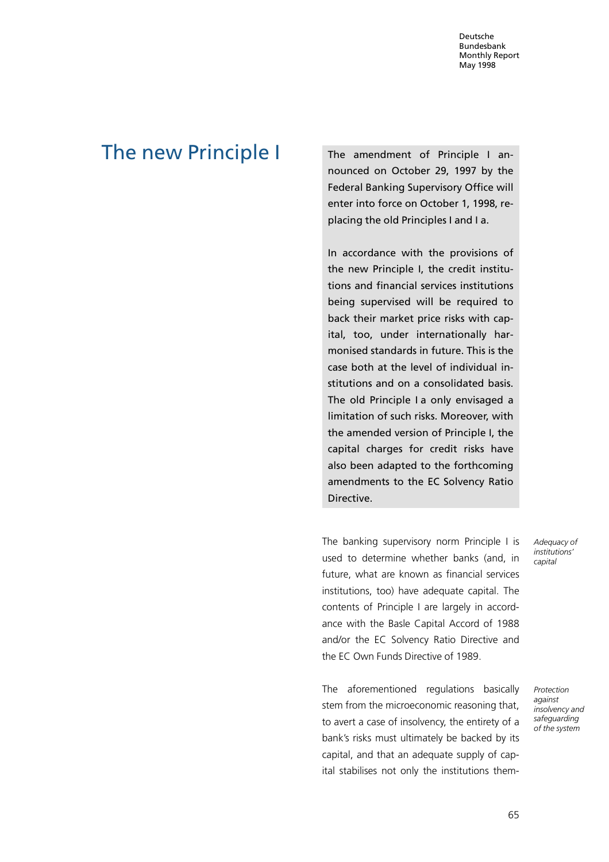# The new Principle | The amendment of Principle I an-

nounced on October 29, 1997 by the Federal Banking Supervisory Office will enter into force on October 1, 1998, replacing the old Principles I and I a.

In accordance with the provisions of the new Principle I, the credit institutions and financial services institutions being supervised will be required to back their market price risks with capital, too, under internationally harmonised standards in future. This is the case both at the level of individual institutions and on a consolidated basis. The old Principle I a only envisaged a limitation of such risks. Moreover, with the amended version of Principle I, the capital charges for credit risks have also been adapted to the forthcoming amendments to the EC Solvency Ratio Directive.

The banking supervisory norm Principle I is used to determine whether banks (and, in future, what are known as financial services institutions, too) have adequate capital. The contents of Principle I are largely in accordance with the Basle Capital Accord of 1988 and/or the EC Solvency Ratio Directive and the EC Own Funds Directive of 1989.

The aforementioned regulations basically stem from the microeconomic reasoning that, to avert a case of insolvency, the entirety of a bank's risks must ultimately be backed by its capital, and that an adequate supply of capital stabilises not only the institutions themAdequacy of institutions' capital

Protection against insolvency and safeguarding of the system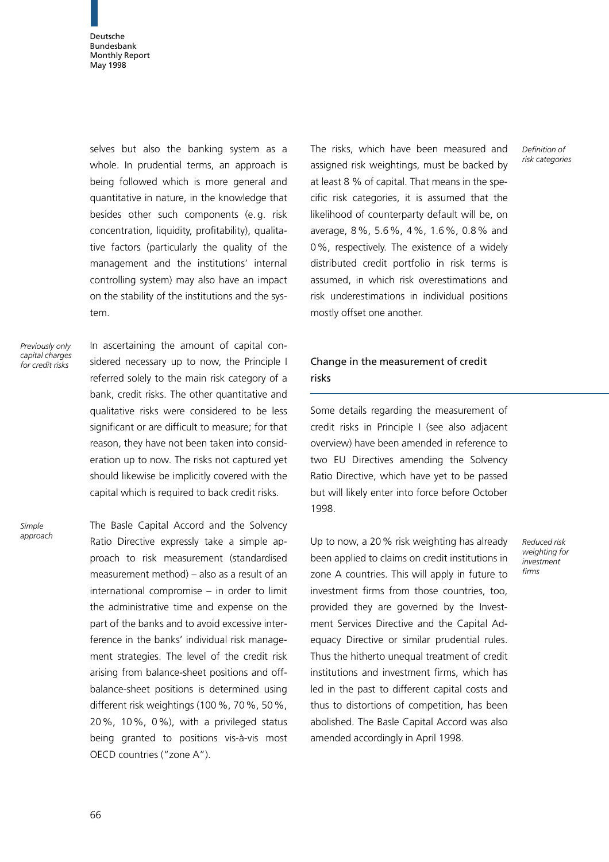selves but also the banking system as a whole. In prudential terms, an approach is being followed which is more general and quantitative in nature, in the knowledge that besides other such components (e. g. risk concentration, liquidity, profitability), qualitative factors (particularly the quality of the management and the institutions' internal controlling system) may also have an impact on the stability of the institutions and the system.

Previously only capital charges for credit risks

In ascertaining the amount of capital considered necessary up to now, the Principle I referred solely to the main risk category of a bank, credit risks. The other quantitative and qualitative risks were considered to be less significant or are difficult to measure; for that reason, they have not been taken into consideration up to now. The risks not captured yet should likewise be implicitly covered with the capital which is required to back credit risks.

Simple approach The Basle Capital Accord and the Solvency Ratio Directive expressly take a simple approach to risk measurement (standardised measurement method)  $-$  also as a result of an  $international$  compromise  $-$  in order to limit the administrative time and expense on the part of the banks and to avoid excessive interference in the banks' individual risk management strategies. The level of the credit risk arising from balance-sheet positions and offbalance-sheet positions is determined using different risk weightings (100%, 70%, 50%, 20%, 10%, 0%), with a privileged status being granted to positions vis-à-vis most OECD countries ("zone A").

The risks, which have been measured and assigned risk weightings, must be backed by at least 8 % of capital. That means in the specific risk categories, it is assumed that the likelihood of counterparty default will be, on average, 8%, 5.6%, 4%, 1.6%, 0.8% and 0%, respectively. The existence of a widely distributed credit portfolio in risk terms is assumed, in which risk overestimations and risk underestimations in individual positions mostly offset one another.

## Change in the measurement of credit risks

Some details regarding the measurement of credit risks in Principle I (see also adjacent overview) have been amended in reference to two EU Directives amending the Solvency Ratio Directive, which have yet to be passed but will likely enter into force before October 1998.

Up to now, a 20% risk weighting has already been applied to claims on credit institutions in zone A countries. This will apply in future to investment firms from those countries, too, provided they are governed by the Investment Services Directive and the Capital Adequacy Directive or similar prudential rules. Thus the hitherto unequal treatment of credit institutions and investment firms, which has led in the past to different capital costs and thus to distortions of competition, has been abolished. The Basle Capital Accord was also amended accordingly in April 1998.

Reduced risk weighting for investment firms

Definition of risk categories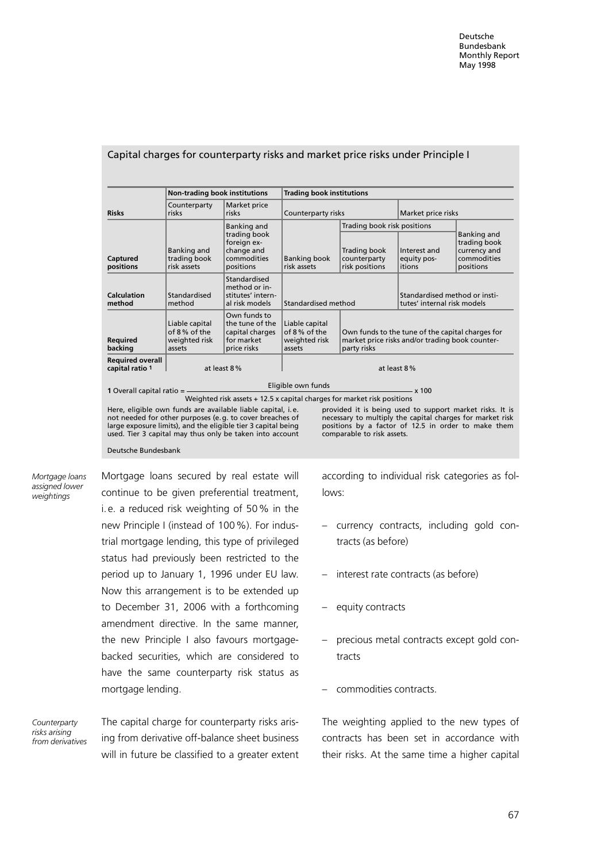|                                            | <b>Non-trading book institutions</b>                      |                                                                                                                                                                                                                                                      | <b>Trading book institutions</b>                          |                                                              |                                                                                                     |                                                                                                                                                                              |
|--------------------------------------------|-----------------------------------------------------------|------------------------------------------------------------------------------------------------------------------------------------------------------------------------------------------------------------------------------------------------------|-----------------------------------------------------------|--------------------------------------------------------------|-----------------------------------------------------------------------------------------------------|------------------------------------------------------------------------------------------------------------------------------------------------------------------------------|
| <b>Risks</b>                               | Counterparty<br>risks                                     | Market price<br>risks                                                                                                                                                                                                                                | Counterparty risks                                        |                                                              | Market price risks                                                                                  |                                                                                                                                                                              |
|                                            |                                                           | <b>Banking and</b>                                                                                                                                                                                                                                   |                                                           | Trading book risk positions                                  |                                                                                                     |                                                                                                                                                                              |
| Captured<br>positions                      | Banking and<br>trading book<br>risk assets                | trading book<br>foreign ex-<br>change and<br>commodities<br>positions                                                                                                                                                                                | <b>Banking book</b><br>risk assets                        | Trading book<br>counterparty<br>risk positions               | Interest and<br>equity pos-<br>itions                                                               | Banking and<br>trading book<br>currency and<br>commodities<br>positions                                                                                                      |
| Calculation<br>method                      | Standardised<br>method                                    | Standardised<br>method or in-<br>stitutes' intern-<br>al risk models                                                                                                                                                                                 | Standardised method                                       | Standardised method or insti-<br>tutes' internal risk models |                                                                                                     |                                                                                                                                                                              |
| <b>Required</b><br>backing                 | Liable capital<br>of 8% of the<br>weighted risk<br>assets | Own funds to<br>the tune of the<br>capital charges<br>for market<br>price risks                                                                                                                                                                      | Liable capital<br>of 8% of the<br>weighted risk<br>assets | party risks                                                  | Own funds to the tune of the capital charges for<br>market price risks and/or trading book counter- |                                                                                                                                                                              |
| <b>Required overall</b><br>capital ratio 1 |                                                           | at least 8%                                                                                                                                                                                                                                          |                                                           | at least 8%                                                  |                                                                                                     |                                                                                                                                                                              |
| 1 Overall capital ratio $=$ $-$            |                                                           |                                                                                                                                                                                                                                                      | Eligible own funds<br>$- x 100$                           |                                                              |                                                                                                     |                                                                                                                                                                              |
|                                            |                                                           | Weighted risk assets + 12.5 x capital charges for market risk positions                                                                                                                                                                              |                                                           |                                                              |                                                                                                     |                                                                                                                                                                              |
|                                            |                                                           | Here, eligible own funds are available liable capital, i.e.<br>not needed for other purposes (e.g. to cover breaches of<br>large exposure limits), and the eligible tier 3 capital being<br>used. Tier 3 capital may thus only be taken into account |                                                           | comparable to risk assets.                                   |                                                                                                     | provided it is being used to support market risks. It is<br>necessary to multiply the capital charges for market risk<br>positions by a factor of 12.5 in order to make them |

#### Capital charges for counterparty risks and market price risks under Principle I

Mortgage loans assigned lower weightings

Mortgage loans secured by real estate will continue to be given preferential treatment, i. e. a reduced risk weighting of 50% in the new Principle I (instead of 100%). For industrial mortgage lending, this type of privileged status had previously been restricted to the period up to January 1, 1996 under EU law. Now this arrangement is to be extended up to December 31, 2006 with a forthcoming amendment directive. In the same manner, the new Principle I also favours mortgagebacked securities, which are considered to have the same counterparty risk status as mortgage lending.

Deutsche Bundesbank

**Counterparty** risks arising from derivatives The capital charge for counterparty risks arising from derivative off-balance sheet business will in future be classified to a greater extent according to individual risk categories as follows:

- ± currency contracts, including gold contracts (as before)
- interest rate contracts (as before)
- $-$  equity contracts
- ± precious metal contracts except gold contracts
- commodities contracts.

The weighting applied to the new types of contracts has been set in accordance with their risks. At the same time a higher capital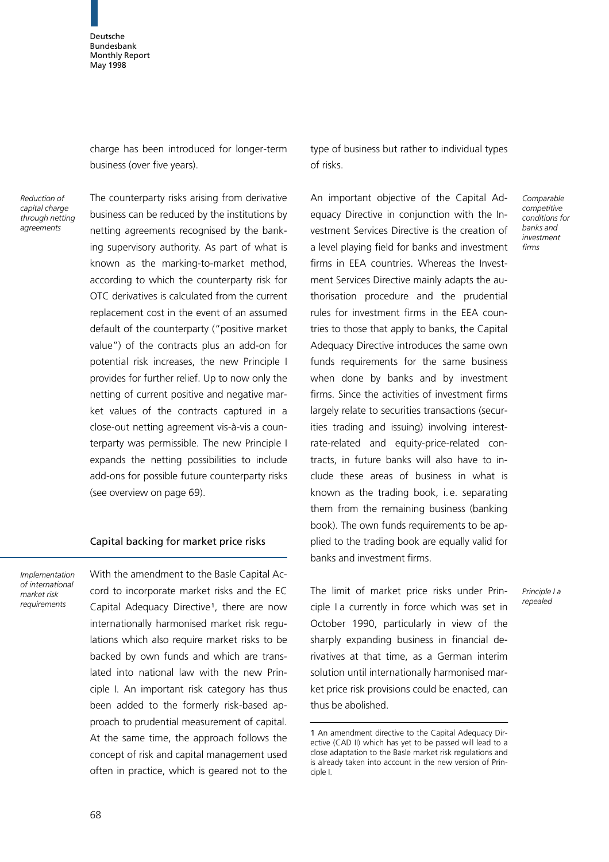charge has been introduced for longer-term business (over five years).

Reduction of capital charge through netting agreements

The counterparty risks arising from derivative business can be reduced by the institutions by netting agreements recognised by the banking supervisory authority. As part of what is known as the marking-to-market method, according to which the counterparty risk for OTC derivatives is calculated from the current replacement cost in the event of an assumed default of the counterparty ("positive market value") of the contracts plus an add-on for potential risk increases, the new Principle I provides for further relief. Up to now only the netting of current positive and negative market values of the contracts captured in a close-out netting agreement vis-à-vis a counterparty was permissible. The new Principle I expands the netting possibilities to include add-ons for possible future counterparty risks (see overview on page 69).

#### Capital backing for market price risks

Implementation of international market risk requirements

With the amendment to the Basle Capital Accord to incorporate market risks and the EC Capital Adequacy Directive<sup>1</sup>, there are now internationally harmonised market risk regulations which also require market risks to be backed by own funds and which are translated into national law with the new Principle I. An important risk category has thus been added to the formerly risk-based approach to prudential measurement of capital. At the same time, the approach follows the concept of risk and capital management used often in practice, which is geared not to the

type of business but rather to individual types of risks.

> Comparable competitive conditions for banks and investment firms

Principle I a repealed

An important objective of the Capital Adequacy Directive in conjunction with the Investment Services Directive is the creation of a level playing field for banks and investment firms in EEA countries. Whereas the Investment Services Directive mainly adapts the authorisation procedure and the prudential rules for investment firms in the EEA countries to those that apply to banks, the Capital Adequacy Directive introduces the same own funds requirements for the same business when done by banks and by investment firms. Since the activities of investment firms largely relate to securities transactions (securities trading and issuing) involving interestrate-related and equity-price-related contracts, in future banks will also have to include these areas of business in what is known as the trading book, i. e. separating them from the remaining business (banking book). The own funds requirements to be applied to the trading book are equally valid for banks and investment firms.

The limit of market price risks under Principle I a currently in force which was set in October 1990, particularly in view of the sharply expanding business in financial derivatives at that time, as a German interim solution until internationally harmonised market price risk provisions could be enacted, can thus be abolished.

<sup>1</sup> An amendment directive to the Capital Adequacy Directive (CAD II) which has yet to be passed will lead to a close adaptation to the Basle market risk regulations and is already taken into account in the new version of Principle I.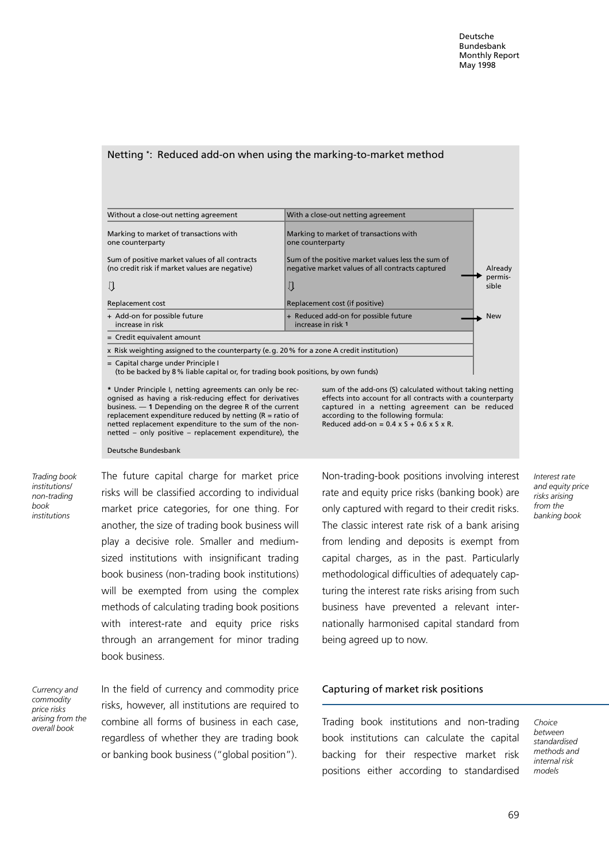#### Netting \*: Reduced add-on when using the marking-to-market method

| Without a close-out netting agreement                                                                                   | With a close-out netting agreement                                                                    |                  |  |  |
|-------------------------------------------------------------------------------------------------------------------------|-------------------------------------------------------------------------------------------------------|------------------|--|--|
| Marking to market of transactions with<br>one counterparty                                                              | Marking to market of transactions with<br>one counterparty                                            |                  |  |  |
| Sum of positive market values of all contracts<br>(no credit risk if market values are negative)                        | Sum of the positive market values less the sum of<br>negative market values of all contracts captured | Already          |  |  |
|                                                                                                                         | IJ                                                                                                    | permis-<br>sible |  |  |
| Replacement cost                                                                                                        | Replacement cost (if positive)                                                                        |                  |  |  |
| + Add-on for possible future<br>increase in risk                                                                        | + Reduced add-on for possible future<br>increase in risk 1                                            | <b>New</b>       |  |  |
| $=$ Credit equivalent amount                                                                                            |                                                                                                       |                  |  |  |
| x Risk weighting assigned to the counterparty (e.g. 20% for a zone A credit institution)                                |                                                                                                       |                  |  |  |
| = Capital charge under Principle I<br>(to be backed by 8 % liable capital or, for trading book positions, by own funds) |                                                                                                       |                  |  |  |

\* Under Principle I, netting agreements can only be recognised as having a risk-reducing effect for derivatives business.  $-$  1 Depending on the degree R of the current replacement expenditure reduced by netting (R = ratio of netted replacement expenditure to the sum of the nonnetted  $-$  only positive  $-$  replacement expenditure), the

sum of the add-ons (S) calculated without taking netting effects into account for all contracts with a counterparty captured in a netting agreement can be reduced according to the following formula: Reduced add-on =  $0.4 \times$  S +  $0.6 \times$  S  $\times$  R.

Deutsche Bundesbank

Trading book institutions/ non-trading book institutions

The future capital charge for market price risks will be classified according to individual market price categories, for one thing. For another, the size of trading book business will play a decisive role. Smaller and mediumsized institutions with insignificant trading book business (non-trading book institutions) will be exempted from using the complex methods of calculating trading book positions with interest-rate and equity price risks through an arrangement for minor trading book business.

Currency and commodity price risks arising from the overall book

In the field of currency and commodity price risks, however, all institutions are required to combine all forms of business in each case, regardless of whether they are trading book or banking book business ("global position").

Non-trading-book positions involving interest rate and equity price risks (banking book) are only captured with regard to their credit risks. The classic interest rate risk of a bank arising from lending and deposits is exempt from capital charges, as in the past. Particularly methodological difficulties of adequately capturing the interest rate risks arising from such business have prevented a relevant internationally harmonised capital standard from being agreed up to now.

from the banking book

Interest rate and equity price risks arising

## Capturing of market risk positions

Trading book institutions and non-trading book institutions can calculate the capital backing for their respective market risk positions either according to standardised Choice between standardised methods and internal risk models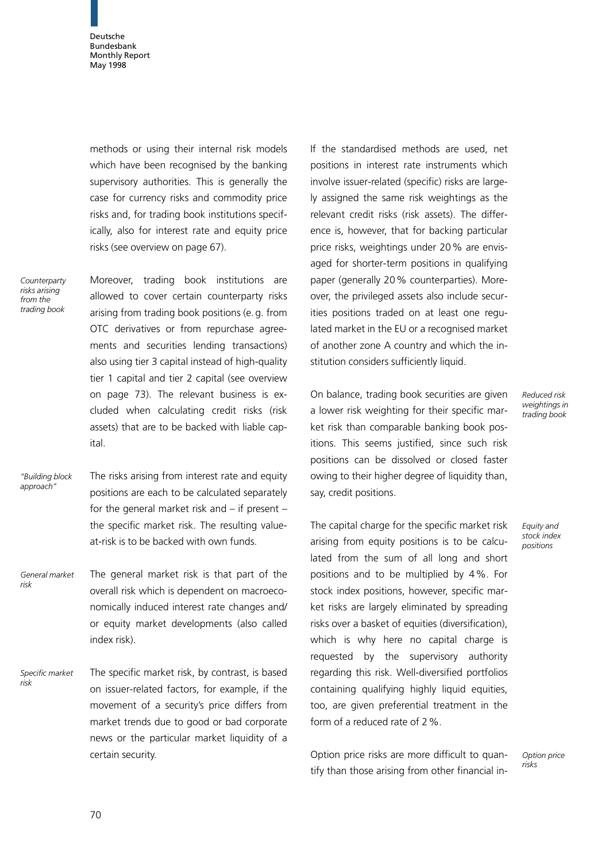methods or using their internal risk models which have been recognised by the banking supervisory authorities. This is generally the case for currency risks and commodity price risks and, for trading book institutions specifically, also for interest rate and equity price risks (see overview on page 67).

**Counterparty** risks arising from the trading book

Moreover, trading book institutions are allowed to cover certain counterparty risks arising from trading book positions (e. g. from OTC derivatives or from repurchase agreements and securities lending transactions) also using tier 3 capital instead of high-quality tier 1 capital and tier 2 capital (see overview on page 73). The relevant business is excluded when calculating credit risks (risk assets) that are to be backed with liable capital.

The risks arising from interest rate and equity positions are each to be calculated separately for the general market risk and  $-$  if present  $$ the specific market risk. The resulting valueat-risk is to be backed with own funds. ªBuilding block approach"

The general market risk is that part of the overall risk which is dependent on macroeconomically induced interest rate changes and/ or equity market developments (also called index risk). General market risk

The specific market risk, by contrast, is based on issuer-related factors, for example, if the movement of a security's price differs from market trends due to good or bad corporate news or the particular market liquidity of a certain security. Specific market risk

If the standardised methods are used, net positions in interest rate instruments which involve issuer-related (specific) risks are largely assigned the same risk weightings as the relevant credit risks (risk assets). The difference is, however, that for backing particular price risks, weightings under 20% are envisaged for shorter-term positions in qualifying paper (generally 20% counterparties). Moreover, the privileged assets also include securities positions traded on at least one regulated market in the EU or a recognised market of another zone A country and which the institution considers sufficiently liquid.

On balance, trading book securities are given a lower risk weighting for their specific market risk than comparable banking book positions. This seems justified, since such risk positions can be dissolved or closed faster owing to their higher degree of liquidity than, say, credit positions.

The capital charge for the specific market risk arising from equity positions is to be calculated from the sum of all long and short positions and to be multiplied by 4%. For stock index positions, however, specific market risks are largely eliminated by spreading risks over a basket of equities (diversification), which is why here no capital charge is requested by the supervisory authority regarding this risk. Well-diversified portfolios containing qualifying highly liquid equities, too, are given preferential treatment in the form of a reduced rate of 2%.

Option price risks are more difficult to quantify than those arising from other financial inReduced risk weightings in trading book

Equity and stock index positions

Option price risks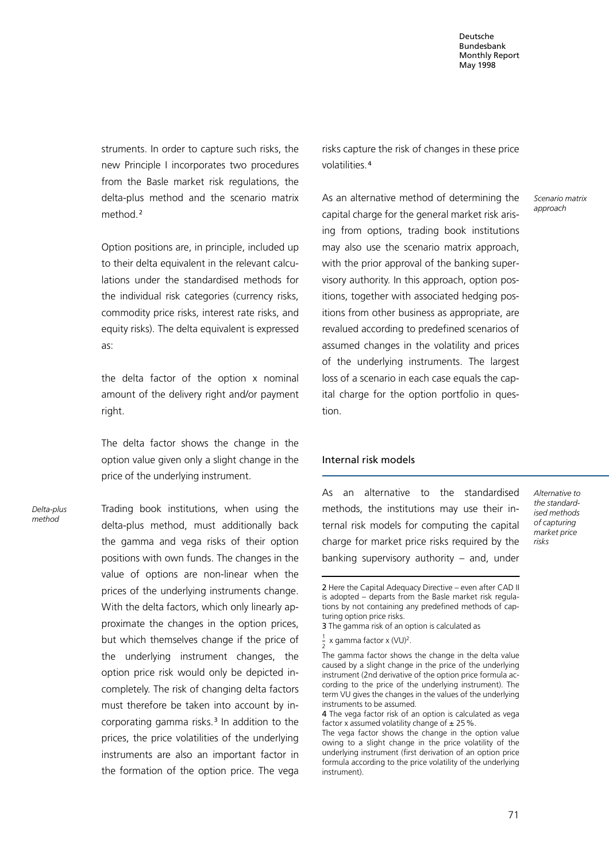struments. In order to capture such risks, the new Principle I incorporates two procedures from the Basle market risk regulations, the delta-plus method and the scenario matrix method.<sup>2</sup>

Option positions are, in principle, included up to their delta equivalent in the relevant calculations under the standardised methods for the individual risk categories (currency risks, commodity price risks, interest rate risks, and equity risks). The delta equivalent is expressed as:

the delta factor of the option x nominal amount of the delivery right and/or payment right.

The delta factor shows the change in the option value given only a slight change in the price of the underlying instrument.

Delta-plus method

Trading book institutions, when using the delta-plus method, must additionally back the gamma and vega risks of their option positions with own funds. The changes in the value of options are non-linear when the prices of the underlying instruments change. With the delta factors, which only linearly approximate the changes in the option prices, but which themselves change if the price of the underlying instrument changes, the option price risk would only be depicted incompletely. The risk of changing delta factors must therefore be taken into account by incorporating gamma risks.<sup>3</sup> In addition to the prices, the price volatilities of the underlying instruments are also an important factor in the formation of the option price. The vega risks capture the risk of changes in these price volatilities.<sup>4</sup>

As an alternative method of determining the capital charge for the general market risk arising from options, trading book institutions may also use the scenario matrix approach, with the prior approval of the banking supervisory authority. In this approach, option positions, together with associated hedging positions from other business as appropriate, are revalued according to predefined scenarios of assumed changes in the volatility and prices of the underlying instruments. The largest loss of a scenario in each case equals the capital charge for the option portfolio in question.

#### Internal risk models

As an alternative to the standardised methods, the institutions may use their internal risk models for computing the capital charge for market price risks required by the banking supervisory authority  $-$  and, under

Scenario matrix approach

Alternative to the standardised methods of capturing market price risks

<sup>2</sup> Here the Capital Adequacy Directive - even after CAD II is adopted - departs from the Basle market risk regulations by not containing any predefined methods of capturing option price risks.

<sup>3</sup> The gamma risk of an option is calculated as

 $\frac{1}{2}$  x gamma factor x (VU)<sup>2</sup>.

The gamma factor shows the change in the delta value caused by a slight change in the price of the underlying instrument (2nd derivative of the option price formula according to the price of the underlying instrument). The term VU gives the changes in the values of the underlying instruments to be assumed.

<sup>4</sup> The vega factor risk of an option is calculated as vega factor x assumed volatility change of  $\pm$  25%.

The vega factor shows the change in the option value owing to a slight change in the price volatility of the underlying instrument (first derivation of an option price formula according to the price volatility of the underlying instrument).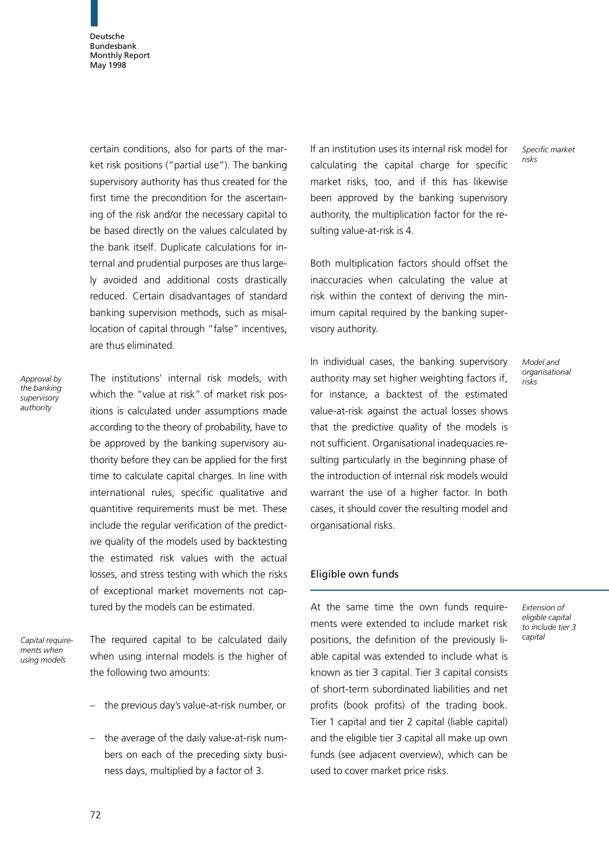certain conditions, also for parts of the market risk positions ("partial use"). The banking supervisory authority has thus created for the first time the precondition for the ascertaining of the risk and/or the necessary capital to be based directly on the values calculated by the bank itself. Duplicate calculations for internal and prudential purposes are thus largely avoided and additional costs drastically reduced. Certain disadvantages of standard banking supervision methods, such as misallocation of capital through "false" incentives, are thus eliminated.

Approval by the banking supervisory authority

The institutions' internal risk models, with which the "value at risk" of market risk positions is calculated under assumptions made according to the theory of probability, have to be approved by the banking supervisory authority before they can be applied for the first time to calculate capital charges. In line with international rules, specific qualitative and quantitive requirements must be met. These include the regular verification of the predictive quality of the models used by backtesting the estimated risk values with the actual losses, and stress testing with which the risks of exceptional market movements not captured by the models can be estimated.

Capital requirements when using models

The required capital to be calculated daily when using internal models is the higher of the following two amounts:

- the previous day's value-at-risk number, or
- $-$  the average of the daily value-at-risk numbers on each of the preceding sixty business days, multiplied by a factor of 3.

If an institution uses its internal risk model for calculating the capital charge for specific market risks, too, and if this has likewise been approved by the banking supervisory authority, the multiplication factor for the resulting value-at-risk is 4.

Both multiplication factors should offset the inaccuracies when calculating the value at risk within the context of deriving the minimum capital required by the banking supervisory authority.

In individual cases, the banking supervisory authority may set higher weighting factors if, for instance, a backtest of the estimated value-at-risk against the actual losses shows that the predictive quality of the models is not sufficient. Organisational inadequacies resulting particularly in the beginning phase of the introduction of internal risk models would warrant the use of a higher factor. In both cases, it should cover the resulting model and organisational risks.

## Eligible own funds

At the same time the own funds requirements were extended to include market risk positions, the definition of the previously liable capital was extended to include what is known as tier 3 capital. Tier 3 capital consists of short-term subordinated liabilities and net profits (book profits) of the trading book. Tier 1 capital and tier 2 capital (liable capital) and the eligible tier 3 capital all make up own funds (see adjacent overview), which can be used to cover market price risks.

Model and organisational risks

Specific market

risks

Extension of eligible capital to include tier 3 capital